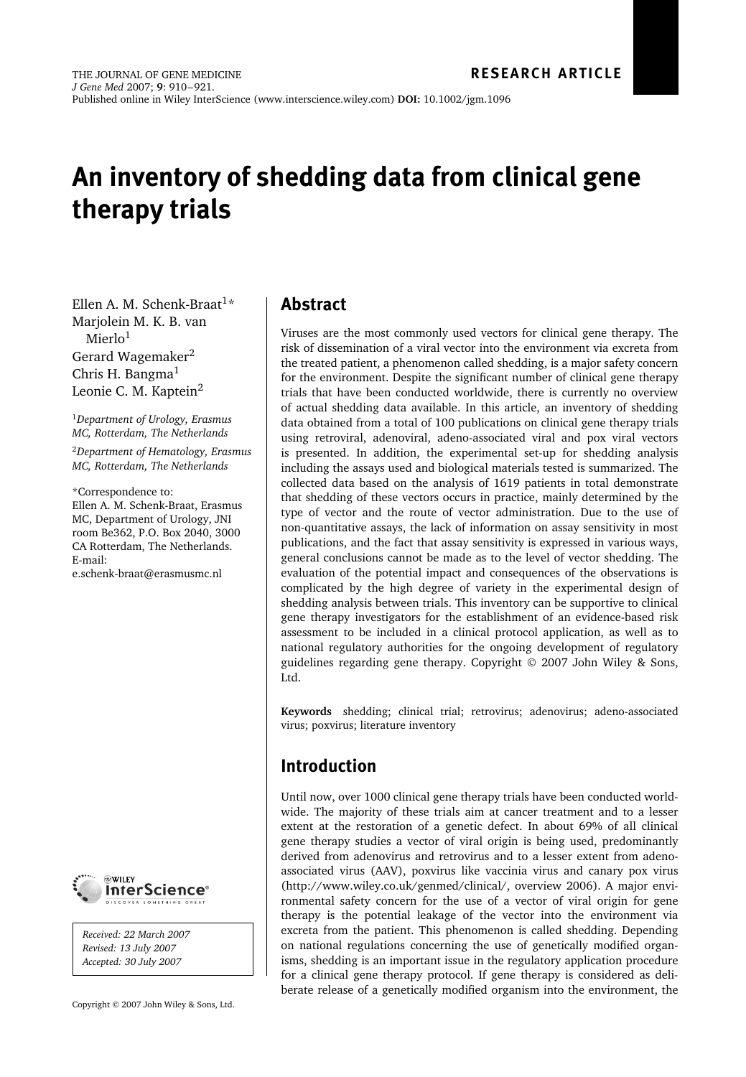# **An inventory of shedding data from clinical gene therapy trials**

Ellen A. M. Schenk-Braat<sup>1\*</sup> Marjolein M. K. B. van  $Mierlo<sup>1</sup>$ Gerard Wagemaker<sup>2</sup> Chris H. Bangma $<sup>1</sup>$ </sup> Leonie C. M. Kaptein<sup>2</sup>

<sup>1</sup>*Department of Urology, Erasmus MC, Rotterdam, The Netherlands*

<sup>2</sup>*Department of Hematology, Erasmus MC, Rotterdam, The Netherlands*

\*Correspondence to: Ellen A. M. Schenk-Braat, Erasmus MC, Department of Urology, JNI room Be362, P.O. Box 2040, 3000 CA Rotterdam, The Netherlands. E-mail: e.schenk-braat@erasmusmc.nl



*Received: 22 March 2007 Revised: 13 July 2007 Accepted: 30 July 2007*

Copyright 2007 John Wiley & Sons, Ltd.

# **Abstract**

Viruses are the most commonly used vectors for clinical gene therapy. The risk of dissemination of a viral vector into the environment via excreta from the treated patient, a phenomenon called shedding, is a major safety concern for the environment. Despite the significant number of clinical gene therapy trials that have been conducted worldwide, there is currently no overview of actual shedding data available. In this article, an inventory of shedding data obtained from a total of 100 publications on clinical gene therapy trials using retroviral, adenoviral, adeno-associated viral and pox viral vectors is presented. In addition, the experimental set-up for shedding analysis including the assays used and biological materials tested is summarized. The collected data based on the analysis of 1619 patients in total demonstrate that shedding of these vectors occurs in practice, mainly determined by the type of vector and the route of vector administration. Due to the use of non-quantitative assays, the lack of information on assay sensitivity in most publications, and the fact that assay sensitivity is expressed in various ways, general conclusions cannot be made as to the level of vector shedding. The evaluation of the potential impact and consequences of the observations is complicated by the high degree of variety in the experimental design of shedding analysis between trials. This inventory can be supportive to clinical gene therapy investigators for the establishment of an evidence-based risk assessment to be included in a clinical protocol application, as well as to national regulatory authorities for the ongoing development of regulatory guidelines regarding gene therapy. Copyright © 2007 John Wiley & Sons, Ltd.

**Keywords** shedding; clinical trial; retrovirus; adenovirus; adeno-associated virus; poxvirus; literature inventory

# **Introduction**

Until now, over 1000 clinical gene therapy trials have been conducted worldwide. The majority of these trials aim at cancer treatment and to a lesser extent at the restoration of a genetic defect. In about 69% of all clinical gene therapy studies a vector of viral origin is being used, predominantly derived from adenovirus and retrovirus and to a lesser extent from adenoassociated virus (AAV), poxvirus like vaccinia virus and canary pox virus (http://www.wiley.co.uk/genmed/clinical/, overview 2006). A major environmental safety concern for the use of a vector of viral origin for gene therapy is the potential leakage of the vector into the environment via excreta from the patient. This phenomenon is called shedding. Depending on national regulations concerning the use of genetically modified organisms, shedding is an important issue in the regulatory application procedure for a clinical gene therapy protocol. If gene therapy is considered as deliberate release of a genetically modified organism into the environment, the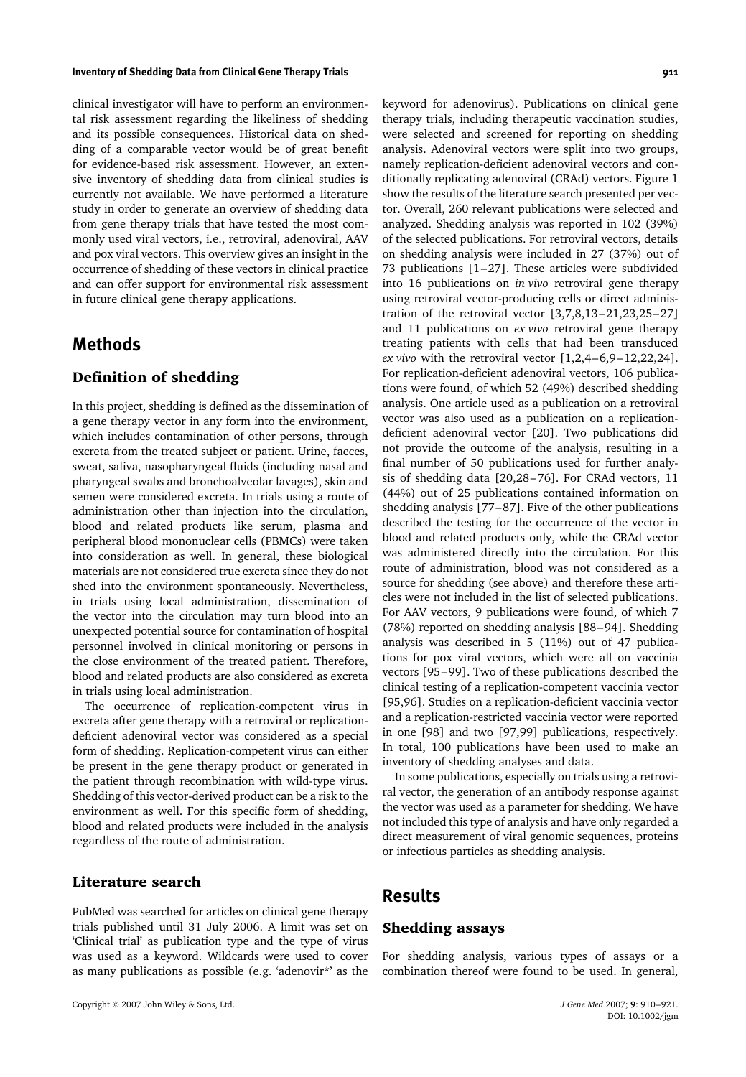clinical investigator will have to perform an environmental risk assessment regarding the likeliness of shedding and its possible consequences. Historical data on shedding of a comparable vector would be of great benefit for evidence-based risk assessment. However, an extensive inventory of shedding data from clinical studies is currently not available. We have performed a literature study in order to generate an overview of shedding data from gene therapy trials that have tested the most commonly used viral vectors, i.e., retroviral, adenoviral, AAV and pox viral vectors. This overview gives an insight in the occurrence of shedding of these vectors in clinical practice and can offer support for environmental risk assessment in future clinical gene therapy applications.

# **Methods**

### Definition of shedding

In this project, shedding is defined as the dissemination of a gene therapy vector in any form into the environment, which includes contamination of other persons, through excreta from the treated subject or patient. Urine, faeces, sweat, saliva, nasopharyngeal fluids (including nasal and pharyngeal swabs and bronchoalveolar lavages), skin and semen were considered excreta. In trials using a route of administration other than injection into the circulation, blood and related products like serum, plasma and peripheral blood mononuclear cells (PBMCs) were taken into consideration as well. In general, these biological materials are not considered true excreta since they do not shed into the environment spontaneously. Nevertheless, in trials using local administration, dissemination of the vector into the circulation may turn blood into an unexpected potential source for contamination of hospital personnel involved in clinical monitoring or persons in the close environment of the treated patient. Therefore, blood and related products are also considered as excreta in trials using local administration.

The occurrence of replication-competent virus in excreta after gene therapy with a retroviral or replicationdeficient adenoviral vector was considered as a special form of shedding. Replication-competent virus can either be present in the gene therapy product or generated in the patient through recombination with wild-type virus. Shedding of this vector-derived product can be a risk to the environment as well. For this specific form of shedding, blood and related products were included in the analysis regardless of the route of administration.

#### Literature search

PubMed was searched for articles on clinical gene therapy trials published until 31 July 2006. A limit was set on 'Clinical trial' as publication type and the type of virus was used as a keyword. Wildcards were used to cover as many publications as possible (e.g. 'adenovir\*' as the

keyword for adenovirus). Publications on clinical gene therapy trials, including therapeutic vaccination studies, were selected and screened for reporting on shedding analysis. Adenoviral vectors were split into two groups, namely replication-deficient adenoviral vectors and conditionally replicating adenoviral (CRAd) vectors. Figure 1 show the results of the literature search presented per vector. Overall, 260 relevant publications were selected and analyzed. Shedding analysis was reported in 102 (39%) of the selected publications. For retroviral vectors, details on shedding analysis were included in 27 (37%) out of 73 publications [1–27]. These articles were subdivided into 16 publications on *in vivo* retroviral gene therapy using retroviral vector-producing cells or direct administration of the retroviral vector  $[3,7,8,13-21,23,25-27]$ and 11 publications on *ex vivo* retroviral gene therapy treating patients with cells that had been transduced *ex vivo* with the retroviral vector [1,2,4–6,9–12,22,24]. For replication-deficient adenoviral vectors, 106 publications were found, of which 52 (49%) described shedding analysis. One article used as a publication on a retroviral vector was also used as a publication on a replicationdeficient adenoviral vector [20]. Two publications did not provide the outcome of the analysis, resulting in a final number of 50 publications used for further analysis of shedding data [20,28–76]. For CRAd vectors, 11 (44%) out of 25 publications contained information on shedding analysis [77–87]. Five of the other publications described the testing for the occurrence of the vector in blood and related products only, while the CRAd vector was administered directly into the circulation. For this route of administration, blood was not considered as a source for shedding (see above) and therefore these articles were not included in the list of selected publications. For AAV vectors, 9 publications were found, of which 7 (78%) reported on shedding analysis [88–94]. Shedding analysis was described in 5 (11%) out of 47 publications for pox viral vectors, which were all on vaccinia vectors [95–99]. Two of these publications described the clinical testing of a replication-competent vaccinia vector [95,96]. Studies on a replication-deficient vaccinia vector and a replication-restricted vaccinia vector were reported in one [98] and two [97,99] publications, respectively. In total, 100 publications have been used to make an inventory of shedding analyses and data.

In some publications, especially on trials using a retroviral vector, the generation of an antibody response against the vector was used as a parameter for shedding. We have not included this type of analysis and have only regarded a direct measurement of viral genomic sequences, proteins or infectious particles as shedding analysis.

# **Results**

### Shedding assays

For shedding analysis, various types of assays or a combination thereof were found to be used. In general,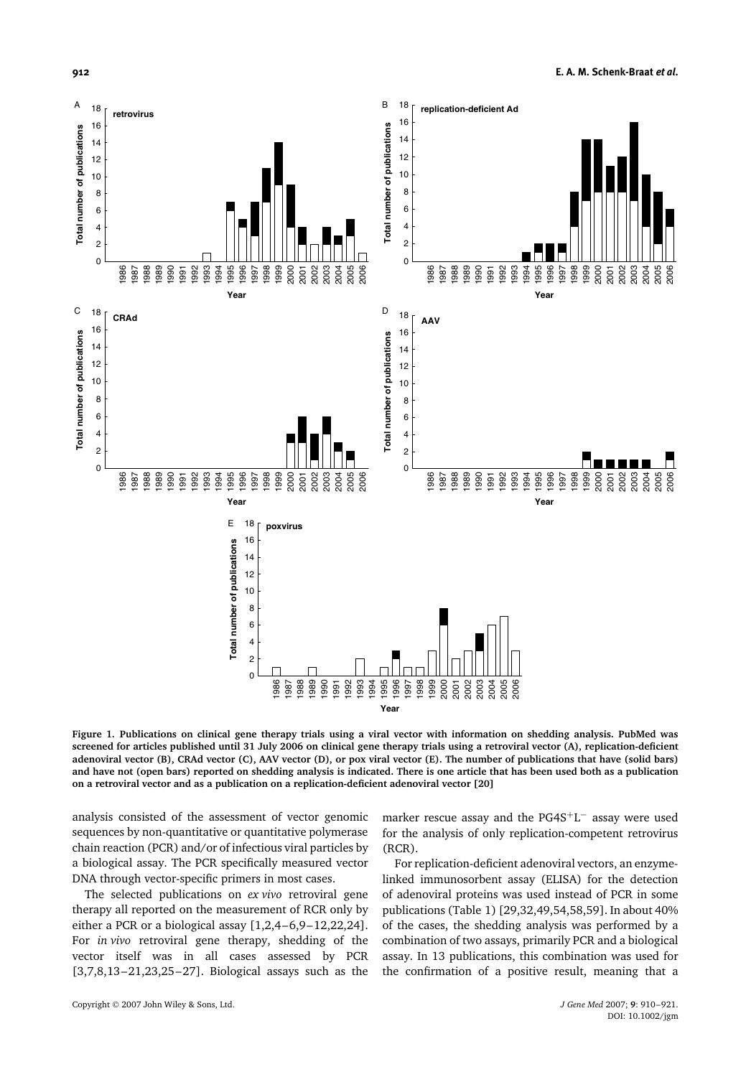

**Figure 1. Publications on clinical gene therapy trials using a viral vector with information on shedding analysis. PubMed was screened for articles published until 31 July 2006 on clinical gene therapy trials using a retroviral vector (A), replication-deficient adenoviral vector (B), CRAd vector (C), AAV vector (D), or pox viral vector (E). The number of publications that have (solid bars) and have not (open bars) reported on shedding analysis is indicated. There is one article that has been used both as a publication on a retroviral vector and as a publication on a replication-deficient adenoviral vector [20]**

analysis consisted of the assessment of vector genomic sequences by non-quantitative or quantitative polymerase chain reaction (PCR) and/or of infectious viral particles by a biological assay. The PCR specifically measured vector DNA through vector-specific primers in most cases.

The selected publications on *ex vivo* retroviral gene therapy all reported on the measurement of RCR only by either a PCR or a biological assay [1,2,4–6,9–12,22,24]. For *in vivo* retroviral gene therapy, shedding of the vector itself was in all cases assessed by PCR [3,7,8,13–21,23,25–27]. Biological assays such as the marker rescue assay and the PG4S<sup>+</sup>L<sup>−</sup> assay were used for the analysis of only replication-competent retrovirus (RCR).

For replication-deficient adenoviral vectors, an enzymelinked immunosorbent assay (ELISA) for the detection of adenoviral proteins was used instead of PCR in some publications (Table 1) [29,32,49,54,58,59]. In about 40% of the cases, the shedding analysis was performed by a combination of two assays, primarily PCR and a biological assay. In 13 publications, this combination was used for the confirmation of a positive result, meaning that a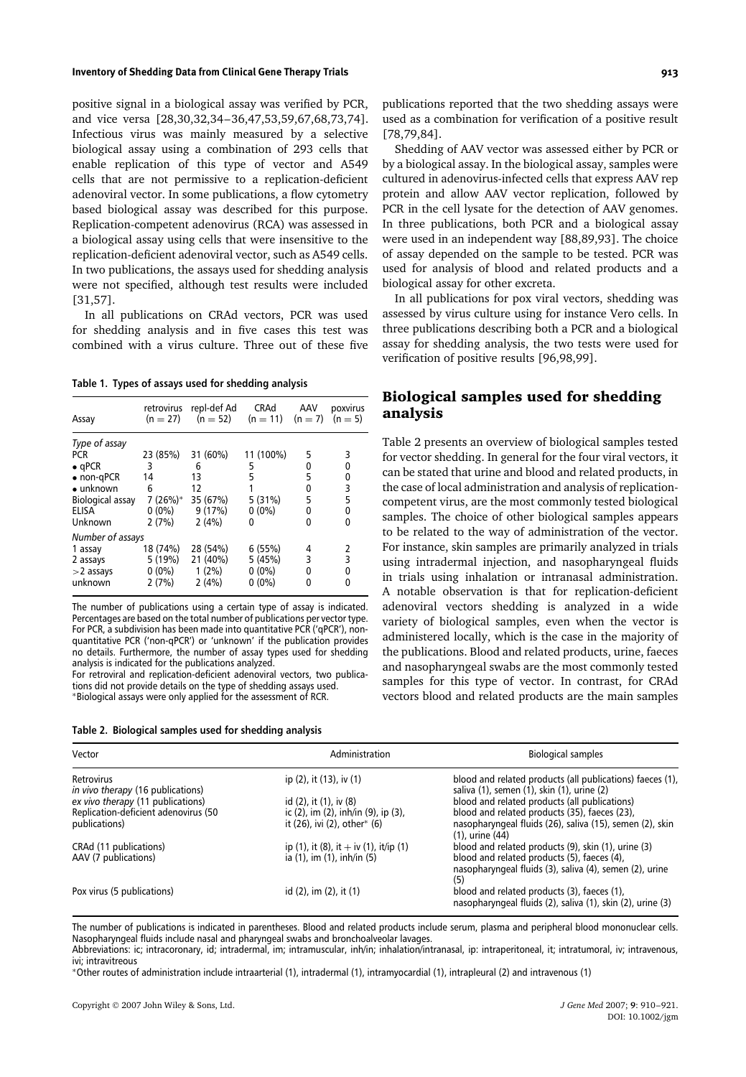positive signal in a biological assay was verified by PCR, and vice versa [28,30,32,34–36,47,53,59,67,68,73,74]. Infectious virus was mainly measured by a selective biological assay using a combination of 293 cells that enable replication of this type of vector and A549 cells that are not permissive to a replication-deficient adenoviral vector. In some publications, a flow cytometry based biological assay was described for this purpose. Replication-competent adenovirus (RCA) was assessed in a biological assay using cells that were insensitive to the replication-deficient adenoviral vector, such as A549 cells. In two publications, the assays used for shedding analysis were not specified, although test results were included [31,57].

In all publications on CRAd vectors, PCR was used for shedding analysis and in five cases this test was combined with a virus culture. Three out of these five

**Table 1. Types of assays used for shedding analysis**

| Assay                                                                                                                                   | retrovirus<br>$(n = 27)$                                    | repl-def Ad<br>$(n = 52)$                                | CRAd<br>$(n = 11)$                             | AAV<br>$(n = 7)$                | poxvirus<br>$(n = 5)$           |
|-----------------------------------------------------------------------------------------------------------------------------------------|-------------------------------------------------------------|----------------------------------------------------------|------------------------------------------------|---------------------------------|---------------------------------|
| Type of assay<br><b>PCR</b><br>$\bullet$ qPCR<br>$\bullet$ non-qPCR<br>$\bullet$ unknown<br>Biological assay<br><b>ELISA</b><br>Unknown | 23 (85%)<br>3<br>14<br>6<br>$7(26%)$ *<br>$0(0\%)$<br>2(7%) | 31 (60%)<br>6<br>13<br>12<br>35 (67%)<br>9(17%)<br>2(4%) | 11 (100%)<br>5<br>5<br>5(31%)<br>$0(0\%)$<br>0 | 5<br>0<br>5<br>0<br>5<br>0<br>0 | 3<br>0<br>0<br>3<br>5<br>0<br>0 |
| Number of assays<br>1 assay<br>2 assays<br>$>$ 2 assays<br>unknown                                                                      | 18 (74%)<br>5 (19%)<br>$0(0\%)$<br>2(7%)                    | 28 (54%)<br>21 (40%)<br>1(2%)<br>2(4%)                   | 6(55%)<br>5 (45%)<br>$0(0\%)$<br>$0(0\%)$      | 4<br>3<br>0<br>0                | 2<br>3<br>0<br>0                |

The number of publications using a certain type of assay is indicated. Percentages are based on the total number of publications per vector type. For PCR, a subdivision has been made into quantitative PCR ('qPCR'), nonquantitative PCR ('non-qPCR') or 'unknown' if the publication provides no details. Furthermore, the number of assay types used for shedding analysis is indicated for the publications analyzed.

For retroviral and replication-deficient adenoviral vectors, two publications did not provide details on the type of shedding assays used. ∗Biological assays were only applied for the assessment of RCR.

| Table 2. Biological samples used for shedding analysis |  |  |  |
|--------------------------------------------------------|--|--|--|
|                                                        |  |  |  |

publications reported that the two shedding assays were used as a combination for verification of a positive result [78,79,84].

Shedding of AAV vector was assessed either by PCR or by a biological assay. In the biological assay, samples were cultured in adenovirus-infected cells that express AAV rep protein and allow AAV vector replication, followed by PCR in the cell lysate for the detection of AAV genomes. In three publications, both PCR and a biological assay were used in an independent way [88,89,93]. The choice of assay depended on the sample to be tested. PCR was used for analysis of blood and related products and a biological assay for other excreta.

In all publications for pox viral vectors, shedding was assessed by virus culture using for instance Vero cells. In three publications describing both a PCR and a biological assay for shedding analysis, the two tests were used for verification of positive results [96,98,99].

## Biological samples used for shedding analysis

Table 2 presents an overview of biological samples tested for vector shedding. In general for the four viral vectors, it can be stated that urine and blood and related products, in the case of local administration and analysis of replicationcompetent virus, are the most commonly tested biological samples. The choice of other biological samples appears to be related to the way of administration of the vector. For instance, skin samples are primarily analyzed in trials using intradermal injection, and nasopharyngeal fluids in trials using inhalation or intranasal administration. A notable observation is that for replication-deficient adenoviral vectors shedding is analyzed in a wide variety of biological samples, even when the vector is administered locally, which is the case in the majority of the publications. Blood and related products, urine, faeces and nasopharyngeal swabs are the most commonly tested samples for this type of vector. In contrast, for CRAd vectors blood and related products are the main samples

| Vector                                          | Administration                                  | <b>Biological samples</b>                                                                                     |
|-------------------------------------------------|-------------------------------------------------|---------------------------------------------------------------------------------------------------------------|
| Retrovirus<br>in vivo therapy (16 publications) | ip (2), it (13), iv (1)                         | blood and related products (all publications) faeces (1),<br>saliva (1), semen (1), skin (1), urine (2)       |
| ex vivo therapy (11 publications)               | id (2), it (1), iv (8)                          | blood and related products (all publications)                                                                 |
| Replication-deficient adenovirus (50            | ic $(2)$ , im $(2)$ , inh/in $(9)$ , ip $(3)$ , | blood and related products (35), faeces (23),                                                                 |
| publications)                                   | it (26), ivi (2), other* (6)                    | nasopharyngeal fluids (26), saliva (15), semen (2), skin<br>(1), urine (44)                                   |
| CRAd (11 publications)                          | ip (1), it (8), it + iv (1), it/ip (1)          | blood and related products (9), skin (1), urine (3)                                                           |
| AAV (7 publications)                            | ia (1), im (1), inh/in (5)                      | blood and related products (5), faeces (4),<br>nasopharyngeal fluids (3), saliva (4), semen (2), urine<br>(5) |
| Pox virus (5 publications)                      | id (2), im (2), it (1)                          | blood and related products (3), faeces (1),<br>nasopharyngeal fluids (2), saliva (1), skin (2), urine (3)     |

The number of publications is indicated in parentheses. Blood and related products include serum, plasma and peripheral blood mononuclear cells. Nasopharyngeal fluids include nasal and pharyngeal swabs and bronchoalveolar lavages.

Abbreviations: ic; intracoronary, id; intradermal, im; intramuscular, inh/in; inhalation/intranasal, ip: intraperitoneal, it; intratumoral, iv; intravenous, ivi; intravitreous

∗Other routes of administration include intraarterial (1), intradermal (1), intramyocardial (1), intrapleural (2) and intravenous (1)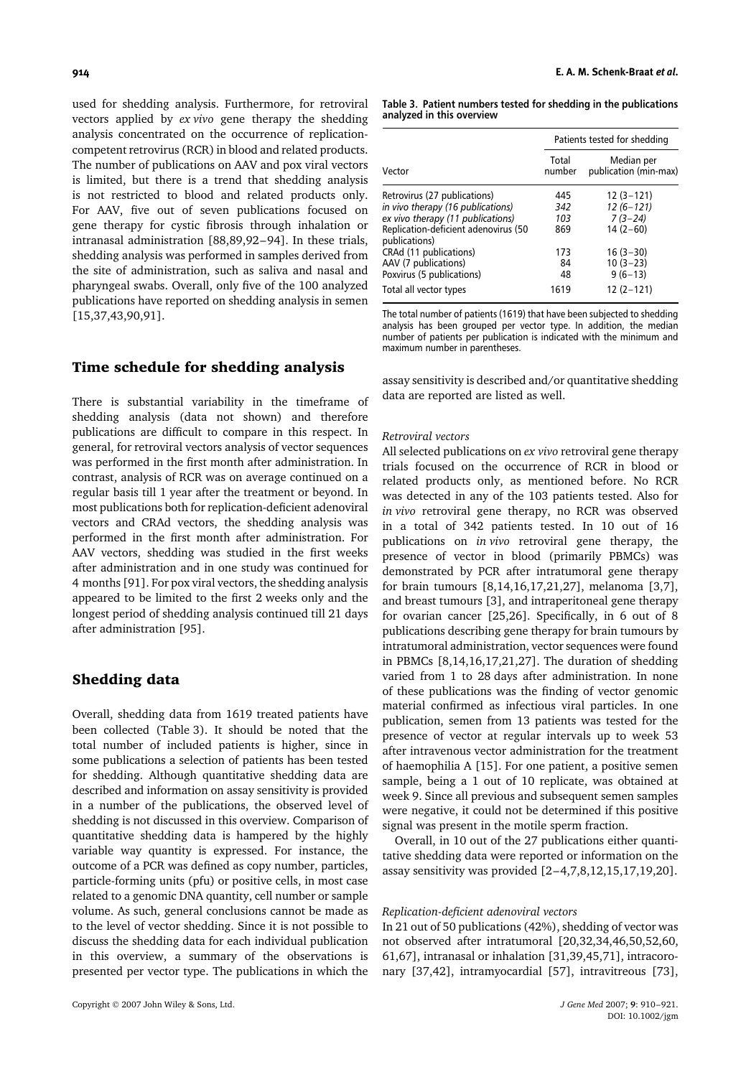used for shedding analysis. Furthermore, for retroviral vectors applied by *ex vivo* gene therapy the shedding analysis concentrated on the occurrence of replicationcompetent retrovirus (RCR) in blood and related products. The number of publications on AAV and pox viral vectors is limited, but there is a trend that shedding analysis is not restricted to blood and related products only. For AAV, five out of seven publications focused on gene therapy for cystic fibrosis through inhalation or intranasal administration [88,89,92–94]. In these trials, shedding analysis was performed in samples derived from the site of administration, such as saliva and nasal and pharyngeal swabs. Overall, only five of the 100 analyzed publications have reported on shedding analysis in semen [15,37,43,90,91].

## Time schedule for shedding analysis

There is substantial variability in the timeframe of shedding analysis (data not shown) and therefore publications are difficult to compare in this respect. In general, for retroviral vectors analysis of vector sequences was performed in the first month after administration. In contrast, analysis of RCR was on average continued on a regular basis till 1 year after the treatment or beyond. In most publications both for replication-deficient adenoviral vectors and CRAd vectors, the shedding analysis was performed in the first month after administration. For AAV vectors, shedding was studied in the first weeks after administration and in one study was continued for 4 months [91]. For pox viral vectors, the shedding analysis appeared to be limited to the first 2 weeks only and the longest period of shedding analysis continued till 21 days after administration [95].

#### Shedding data

Overall, shedding data from 1619 treated patients have been collected (Table 3). It should be noted that the total number of included patients is higher, since in some publications a selection of patients has been tested for shedding. Although quantitative shedding data are described and information on assay sensitivity is provided in a number of the publications, the observed level of shedding is not discussed in this overview. Comparison of quantitative shedding data is hampered by the highly variable way quantity is expressed. For instance, the outcome of a PCR was defined as copy number, particles, particle-forming units (pfu) or positive cells, in most case related to a genomic DNA quantity, cell number or sample volume. As such, general conclusions cannot be made as to the level of vector shedding. Since it is not possible to discuss the shedding data for each individual publication in this overview, a summary of the observations is presented per vector type. The publications in which the

**Table 3. Patient numbers tested for shedding in the publications analyzed in this overview**

|                                                       | Patients tested for shedding |                                     |  |
|-------------------------------------------------------|------------------------------|-------------------------------------|--|
| Vector                                                | Total<br>number              | Median per<br>publication (min-max) |  |
| Retrovirus (27 publications)                          | 445                          | $12(3 - 121)$                       |  |
| in vivo therapy (16 publications)                     | 342                          | $12(6 - 121)$                       |  |
| ex vivo therapy (11 publications)                     | 103                          | $7(3-24)$                           |  |
| Replication-deficient adenovirus (50<br>publications) | 869                          | $14(2-60)$                          |  |
| CRAd (11 publications)                                | 173                          | $16(3-30)$                          |  |
| AAV (7 publications)                                  | 84                           | $10(3-23)$                          |  |
| Poxvirus (5 publications)                             | 48                           | $9(6-13)$                           |  |
| Total all vector types                                | 1619                         | $12(2-121)$                         |  |

The total number of patients (1619) that have been subjected to shedding analysis has been grouped per vector type. In addition, the median number of patients per publication is indicated with the minimum and maximum number in parentheses.

assay sensitivity is described and/or quantitative shedding data are reported are listed as well.

#### *Retroviral vectors*

All selected publications on *ex vivo* retroviral gene therapy trials focused on the occurrence of RCR in blood or related products only, as mentioned before. No RCR was detected in any of the 103 patients tested. Also for *in vivo* retroviral gene therapy, no RCR was observed in a total of 342 patients tested. In 10 out of 16 publications on *in vivo* retroviral gene therapy, the presence of vector in blood (primarily PBMCs) was demonstrated by PCR after intratumoral gene therapy for brain tumours [8,14,16,17,21,27], melanoma [3,7], and breast tumours [3], and intraperitoneal gene therapy for ovarian cancer [25,26]. Specifically, in 6 out of 8 publications describing gene therapy for brain tumours by intratumoral administration, vector sequences were found in PBMCs [8,14,16,17,21,27]. The duration of shedding varied from 1 to 28 days after administration. In none of these publications was the finding of vector genomic material confirmed as infectious viral particles. In one publication, semen from 13 patients was tested for the presence of vector at regular intervals up to week 53 after intravenous vector administration for the treatment of haemophilia A [15]. For one patient, a positive semen sample, being a 1 out of 10 replicate, was obtained at week 9. Since all previous and subsequent semen samples were negative, it could not be determined if this positive signal was present in the motile sperm fraction.

Overall, in 10 out of the 27 publications either quantitative shedding data were reported or information on the assay sensitivity was provided [2–4,7,8,12,15,17,19,20].

#### *Replication-deficient adenoviral vectors*

In 21 out of 50 publications (42%), shedding of vector was not observed after intratumoral [20,32,34,46,50,52,60, 61,67], intranasal or inhalation [31,39,45,71], intracoronary [37,42], intramyocardial [57], intravitreous [73],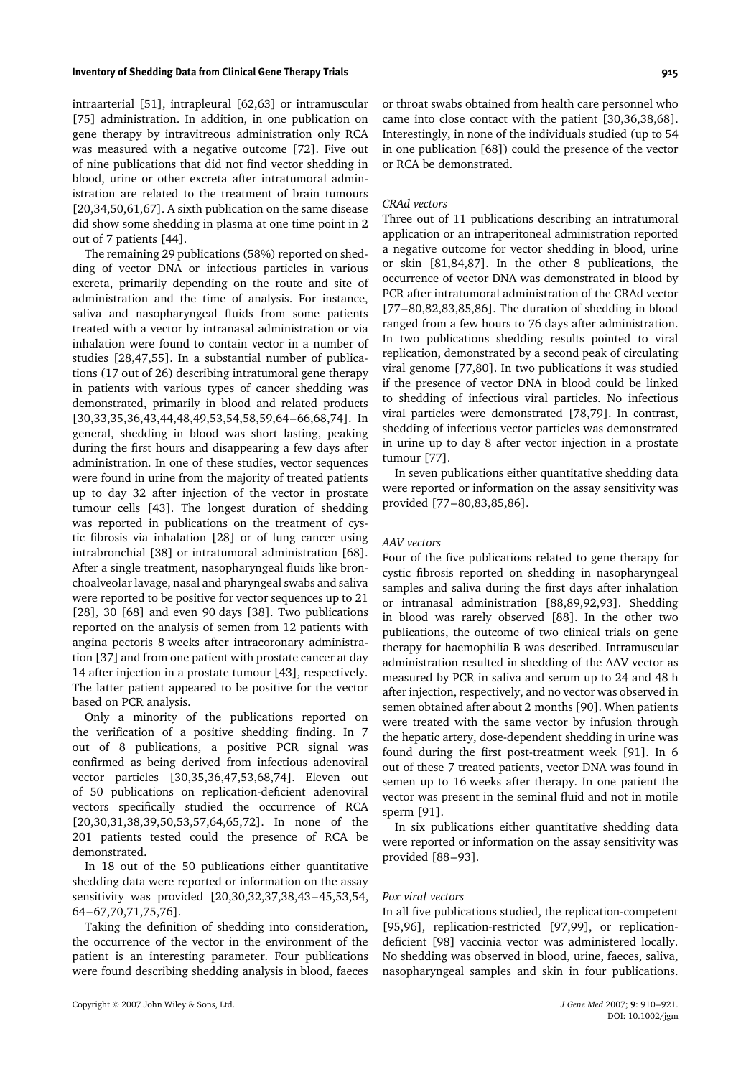intraarterial [51], intrapleural [62,63] or intramuscular [75] administration. In addition, in one publication on gene therapy by intravitreous administration only RCA was measured with a negative outcome [72]. Five out of nine publications that did not find vector shedding in blood, urine or other excreta after intratumoral administration are related to the treatment of brain tumours [20,34,50,61,67]. A sixth publication on the same disease did show some shedding in plasma at one time point in 2 out of 7 patients [44].

The remaining 29 publications (58%) reported on shedding of vector DNA or infectious particles in various excreta, primarily depending on the route and site of administration and the time of analysis. For instance, saliva and nasopharyngeal fluids from some patients treated with a vector by intranasal administration or via inhalation were found to contain vector in a number of studies [28,47,55]. In a substantial number of publications (17 out of 26) describing intratumoral gene therapy in patients with various types of cancer shedding was demonstrated, primarily in blood and related products [30,33,35,36,43,44,48,49,53,54,58,59,64–66,68,74]. In general, shedding in blood was short lasting, peaking during the first hours and disappearing a few days after administration. In one of these studies, vector sequences were found in urine from the majority of treated patients up to day 32 after injection of the vector in prostate tumour cells [43]. The longest duration of shedding was reported in publications on the treatment of cystic fibrosis via inhalation [28] or of lung cancer using intrabronchial [38] or intratumoral administration [68]. After a single treatment, nasopharyngeal fluids like bronchoalveolar lavage, nasal and pharyngeal swabs and saliva were reported to be positive for vector sequences up to 21 [28], 30 [68] and even 90 days [38]. Two publications reported on the analysis of semen from 12 patients with angina pectoris 8 weeks after intracoronary administration [37] and from one patient with prostate cancer at day 14 after injection in a prostate tumour [43], respectively. The latter patient appeared to be positive for the vector based on PCR analysis.

Only a minority of the publications reported on the verification of a positive shedding finding. In 7 out of 8 publications, a positive PCR signal was confirmed as being derived from infectious adenoviral vector particles [30,35,36,47,53,68,74]. Eleven out of 50 publications on replication-deficient adenoviral vectors specifically studied the occurrence of RCA [20,30,31,38,39,50,53,57,64,65,72]. In none of the 201 patients tested could the presence of RCA be demonstrated.

In 18 out of the 50 publications either quantitative shedding data were reported or information on the assay sensitivity was provided [20,30,32,37,38,43–45,53,54, 64–67,70,71,75,76].

Taking the definition of shedding into consideration, the occurrence of the vector in the environment of the patient is an interesting parameter. Four publications were found describing shedding analysis in blood, faeces

or throat swabs obtained from health care personnel who came into close contact with the patient [30,36,38,68]. Interestingly, in none of the individuals studied (up to 54 in one publication [68]) could the presence of the vector or RCA be demonstrated.

#### *CRAd vectors*

Three out of 11 publications describing an intratumoral application or an intraperitoneal administration reported a negative outcome for vector shedding in blood, urine or skin [81,84,87]. In the other 8 publications, the occurrence of vector DNA was demonstrated in blood by PCR after intratumoral administration of the CRAd vector [77–80,82,83,85,86]. The duration of shedding in blood ranged from a few hours to 76 days after administration. In two publications shedding results pointed to viral replication, demonstrated by a second peak of circulating viral genome [77,80]. In two publications it was studied if the presence of vector DNA in blood could be linked to shedding of infectious viral particles. No infectious viral particles were demonstrated [78,79]. In contrast, shedding of infectious vector particles was demonstrated in urine up to day 8 after vector injection in a prostate tumour [77].

In seven publications either quantitative shedding data were reported or information on the assay sensitivity was provided [77–80,83,85,86].

#### *AAV vectors*

Four of the five publications related to gene therapy for cystic fibrosis reported on shedding in nasopharyngeal samples and saliva during the first days after inhalation or intranasal administration [88,89,92,93]. Shedding in blood was rarely observed [88]. In the other two publications, the outcome of two clinical trials on gene therapy for haemophilia B was described. Intramuscular administration resulted in shedding of the AAV vector as measured by PCR in saliva and serum up to 24 and 48 h after injection, respectively, and no vector was observed in semen obtained after about 2 months [90]. When patients were treated with the same vector by infusion through the hepatic artery, dose-dependent shedding in urine was found during the first post-treatment week [91]. In 6 out of these 7 treated patients, vector DNA was found in semen up to 16 weeks after therapy. In one patient the vector was present in the seminal fluid and not in motile sperm [91].

In six publications either quantitative shedding data were reported or information on the assay sensitivity was provided [88–93].

#### *Pox viral vectors*

In all five publications studied, the replication-competent [95,96], replication-restricted [97,99], or replicationdeficient [98] vaccinia vector was administered locally. No shedding was observed in blood, urine, faeces, saliva, nasopharyngeal samples and skin in four publications.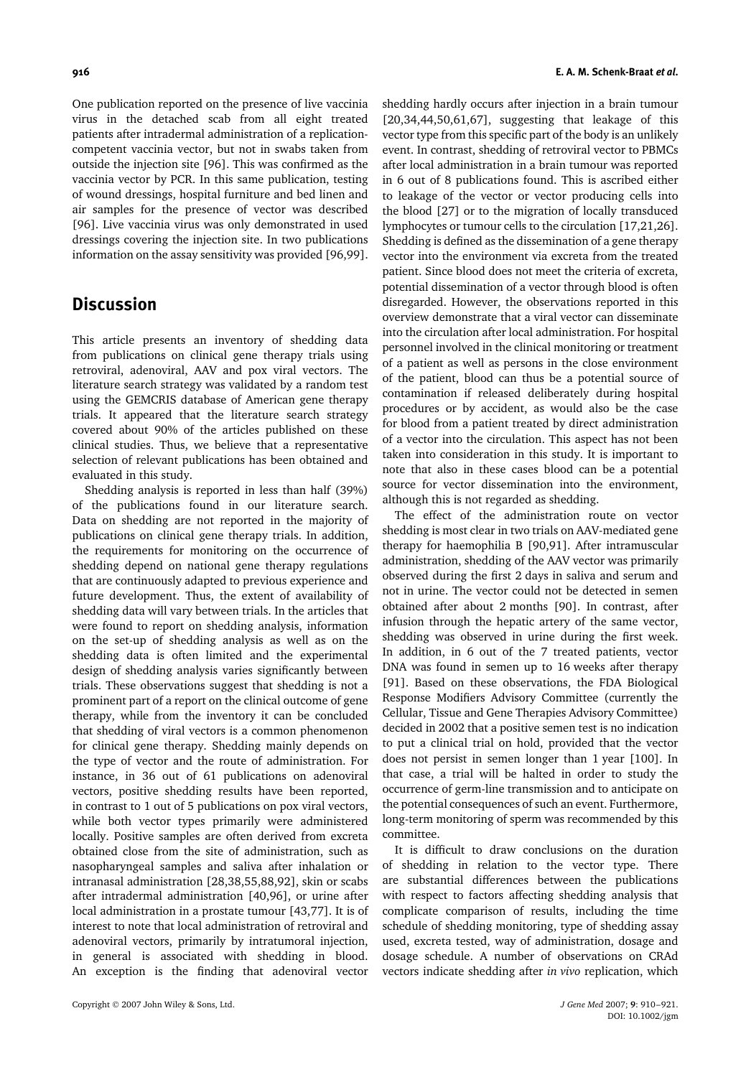One publication reported on the presence of live vaccinia virus in the detached scab from all eight treated patients after intradermal administration of a replicationcompetent vaccinia vector, but not in swabs taken from outside the injection site [96]. This was confirmed as the vaccinia vector by PCR. In this same publication, testing of wound dressings, hospital furniture and bed linen and air samples for the presence of vector was described [96]. Live vaccinia virus was only demonstrated in used dressings covering the injection site. In two publications information on the assay sensitivity was provided [96,99].

# **Discussion**

This article presents an inventory of shedding data from publications on clinical gene therapy trials using retroviral, adenoviral, AAV and pox viral vectors. The literature search strategy was validated by a random test using the GEMCRIS database of American gene therapy trials. It appeared that the literature search strategy covered about 90% of the articles published on these clinical studies. Thus, we believe that a representative selection of relevant publications has been obtained and evaluated in this study.

Shedding analysis is reported in less than half (39%) of the publications found in our literature search. Data on shedding are not reported in the majority of publications on clinical gene therapy trials. In addition, the requirements for monitoring on the occurrence of shedding depend on national gene therapy regulations that are continuously adapted to previous experience and future development. Thus, the extent of availability of shedding data will vary between trials. In the articles that were found to report on shedding analysis, information on the set-up of shedding analysis as well as on the shedding data is often limited and the experimental design of shedding analysis varies significantly between trials. These observations suggest that shedding is not a prominent part of a report on the clinical outcome of gene therapy, while from the inventory it can be concluded that shedding of viral vectors is a common phenomenon for clinical gene therapy. Shedding mainly depends on the type of vector and the route of administration. For instance, in 36 out of 61 publications on adenoviral vectors, positive shedding results have been reported, in contrast to 1 out of 5 publications on pox viral vectors, while both vector types primarily were administered locally. Positive samples are often derived from excreta obtained close from the site of administration, such as nasopharyngeal samples and saliva after inhalation or intranasal administration [28,38,55,88,92], skin or scabs after intradermal administration [40,96], or urine after local administration in a prostate tumour [43,77]. It is of interest to note that local administration of retroviral and adenoviral vectors, primarily by intratumoral injection, in general is associated with shedding in blood. An exception is the finding that adenoviral vector

shedding hardly occurs after injection in a brain tumour [20,34,44,50,61,67], suggesting that leakage of this vector type from this specific part of the body is an unlikely event. In contrast, shedding of retroviral vector to PBMCs after local administration in a brain tumour was reported in 6 out of 8 publications found. This is ascribed either to leakage of the vector or vector producing cells into the blood [27] or to the migration of locally transduced lymphocytes or tumour cells to the circulation [17,21,26]. Shedding is defined as the dissemination of a gene therapy vector into the environment via excreta from the treated patient. Since blood does not meet the criteria of excreta, potential dissemination of a vector through blood is often disregarded. However, the observations reported in this overview demonstrate that a viral vector can disseminate into the circulation after local administration. For hospital personnel involved in the clinical monitoring or treatment of a patient as well as persons in the close environment of the patient, blood can thus be a potential source of contamination if released deliberately during hospital procedures or by accident, as would also be the case for blood from a patient treated by direct administration of a vector into the circulation. This aspect has not been taken into consideration in this study. It is important to note that also in these cases blood can be a potential source for vector dissemination into the environment, although this is not regarded as shedding.

The effect of the administration route on vector shedding is most clear in two trials on AAV-mediated gene therapy for haemophilia B [90,91]. After intramuscular administration, shedding of the AAV vector was primarily observed during the first 2 days in saliva and serum and not in urine. The vector could not be detected in semen obtained after about 2 months [90]. In contrast, after infusion through the hepatic artery of the same vector, shedding was observed in urine during the first week. In addition, in 6 out of the 7 treated patients, vector DNA was found in semen up to 16 weeks after therapy [91]. Based on these observations, the FDA Biological Response Modifiers Advisory Committee (currently the Cellular, Tissue and Gene Therapies Advisory Committee) decided in 2002 that a positive semen test is no indication to put a clinical trial on hold, provided that the vector does not persist in semen longer than 1 year [100]. In that case, a trial will be halted in order to study the occurrence of germ-line transmission and to anticipate on the potential consequences of such an event. Furthermore, long-term monitoring of sperm was recommended by this committee.

It is difficult to draw conclusions on the duration of shedding in relation to the vector type. There are substantial differences between the publications with respect to factors affecting shedding analysis that complicate comparison of results, including the time schedule of shedding monitoring, type of shedding assay used, excreta tested, way of administration, dosage and dosage schedule. A number of observations on CRAd vectors indicate shedding after *in vivo* replication, which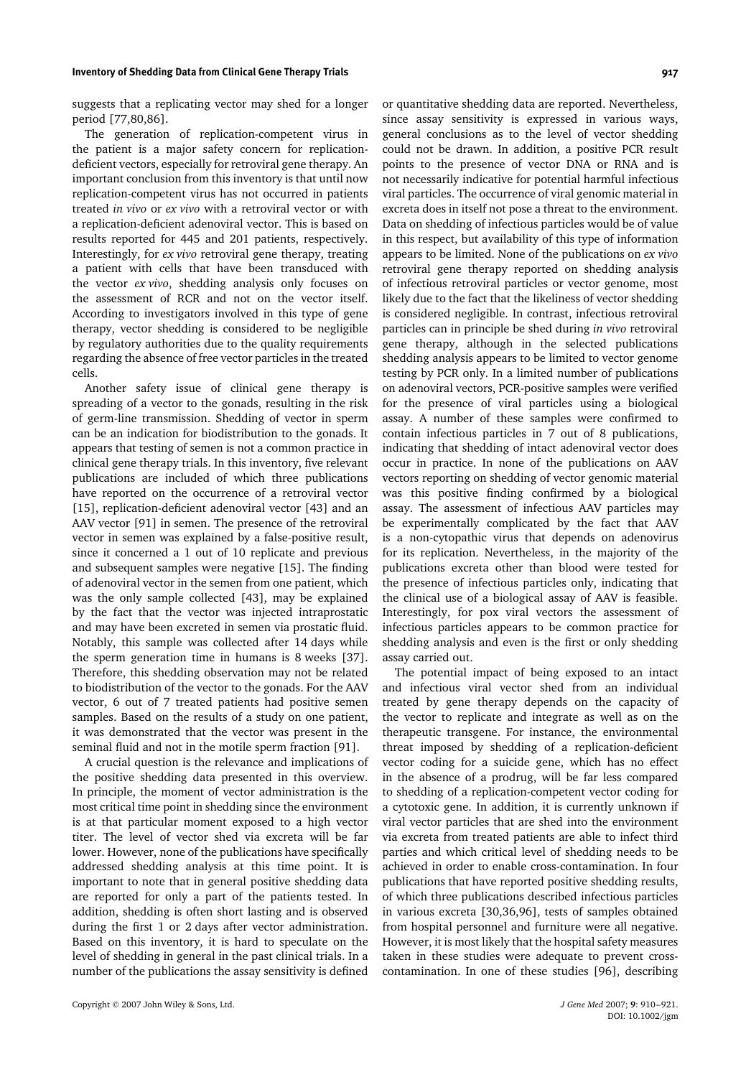suggests that a replicating vector may shed for a longer period [77,80,86].

The generation of replication-competent virus in the patient is a major safety concern for replicationdeficient vectors, especially for retroviral gene therapy. An important conclusion from this inventory is that until now replication-competent virus has not occurred in patients treated *in vivo* or *ex vivo* with a retroviral vector or with a replication-deficient adenoviral vector. This is based on results reported for 445 and 201 patients, respectively. Interestingly, for *ex vivo* retroviral gene therapy, treating a patient with cells that have been transduced with the vector *ex vivo*, shedding analysis only focuses on the assessment of RCR and not on the vector itself. According to investigators involved in this type of gene therapy, vector shedding is considered to be negligible by regulatory authorities due to the quality requirements regarding the absence of free vector particles in the treated cells.

Another safety issue of clinical gene therapy is spreading of a vector to the gonads, resulting in the risk of germ-line transmission. Shedding of vector in sperm can be an indication for biodistribution to the gonads. It appears that testing of semen is not a common practice in clinical gene therapy trials. In this inventory, five relevant publications are included of which three publications have reported on the occurrence of a retroviral vector [15], replication-deficient adenoviral vector [43] and an AAV vector [91] in semen. The presence of the retroviral vector in semen was explained by a false-positive result, since it concerned a 1 out of 10 replicate and previous and subsequent samples were negative [15]. The finding of adenoviral vector in the semen from one patient, which was the only sample collected [43], may be explained by the fact that the vector was injected intraprostatic and may have been excreted in semen via prostatic fluid. Notably, this sample was collected after 14 days while the sperm generation time in humans is 8 weeks [37]. Therefore, this shedding observation may not be related to biodistribution of the vector to the gonads. For the AAV vector, 6 out of 7 treated patients had positive semen samples. Based on the results of a study on one patient, it was demonstrated that the vector was present in the seminal fluid and not in the motile sperm fraction [91].

A crucial question is the relevance and implications of the positive shedding data presented in this overview. In principle, the moment of vector administration is the most critical time point in shedding since the environment is at that particular moment exposed to a high vector titer. The level of vector shed via excreta will be far lower. However, none of the publications have specifically addressed shedding analysis at this time point. It is important to note that in general positive shedding data are reported for only a part of the patients tested. In addition, shedding is often short lasting and is observed during the first 1 or 2 days after vector administration. Based on this inventory, it is hard to speculate on the level of shedding in general in the past clinical trials. In a number of the publications the assay sensitivity is defined

or quantitative shedding data are reported. Nevertheless, since assay sensitivity is expressed in various ways, general conclusions as to the level of vector shedding could not be drawn. In addition, a positive PCR result points to the presence of vector DNA or RNA and is not necessarily indicative for potential harmful infectious viral particles. The occurrence of viral genomic material in excreta does in itself not pose a threat to the environment. Data on shedding of infectious particles would be of value in this respect, but availability of this type of information appears to be limited. None of the publications on *ex vivo* retroviral gene therapy reported on shedding analysis of infectious retroviral particles or vector genome, most likely due to the fact that the likeliness of vector shedding is considered negligible. In contrast, infectious retroviral particles can in principle be shed during *in vivo* retroviral gene therapy, although in the selected publications shedding analysis appears to be limited to vector genome testing by PCR only. In a limited number of publications on adenoviral vectors, PCR-positive samples were verified for the presence of viral particles using a biological assay. A number of these samples were confirmed to contain infectious particles in 7 out of 8 publications, indicating that shedding of intact adenoviral vector does occur in practice. In none of the publications on AAV vectors reporting on shedding of vector genomic material was this positive finding confirmed by a biological assay. The assessment of infectious AAV particles may be experimentally complicated by the fact that AAV is a non-cytopathic virus that depends on adenovirus for its replication. Nevertheless, in the majority of the publications excreta other than blood were tested for the presence of infectious particles only, indicating that the clinical use of a biological assay of AAV is feasible. Interestingly, for pox viral vectors the assessment of infectious particles appears to be common practice for shedding analysis and even is the first or only shedding assay carried out.

The potential impact of being exposed to an intact and infectious viral vector shed from an individual treated by gene therapy depends on the capacity of the vector to replicate and integrate as well as on the therapeutic transgene. For instance, the environmental threat imposed by shedding of a replication-deficient vector coding for a suicide gene, which has no effect in the absence of a prodrug, will be far less compared to shedding of a replication-competent vector coding for a cytotoxic gene. In addition, it is currently unknown if viral vector particles that are shed into the environment via excreta from treated patients are able to infect third parties and which critical level of shedding needs to be achieved in order to enable cross-contamination. In four publications that have reported positive shedding results, of which three publications described infectious particles in various excreta [30,36,96], tests of samples obtained from hospital personnel and furniture were all negative. However, it is most likely that the hospital safety measures taken in these studies were adequate to prevent crosscontamination. In one of these studies [96], describing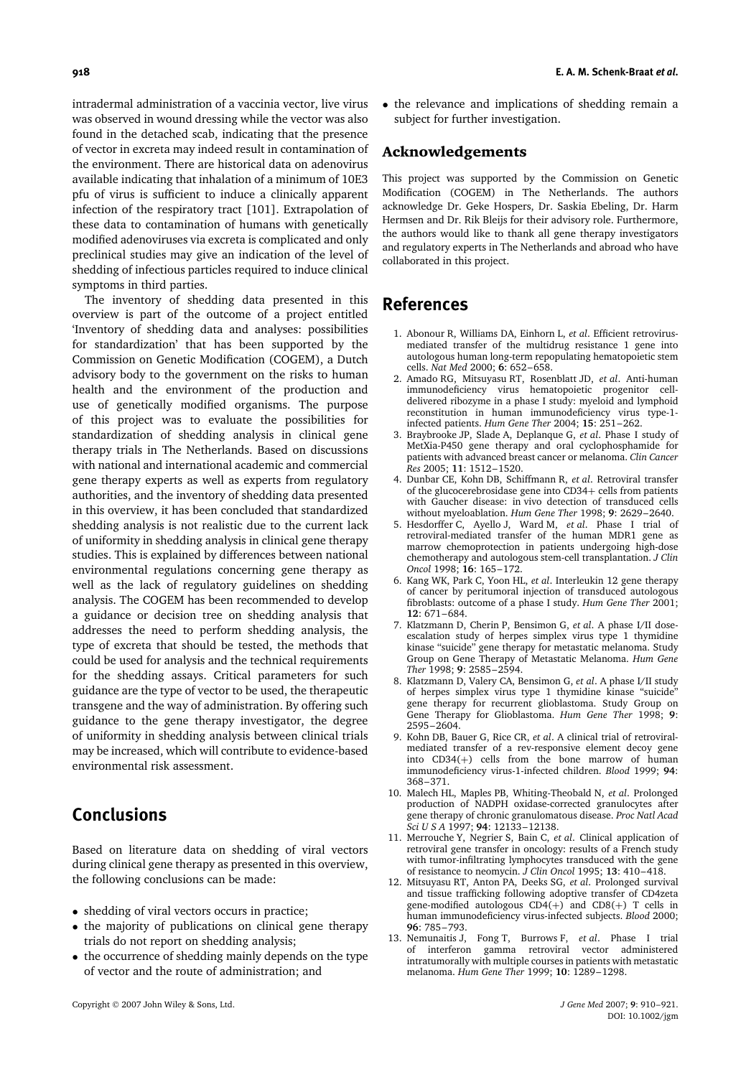intradermal administration of a vaccinia vector, live virus was observed in wound dressing while the vector was also found in the detached scab, indicating that the presence of vector in excreta may indeed result in contamination of the environment. There are historical data on adenovirus available indicating that inhalation of a minimum of 10E3 pfu of virus is sufficient to induce a clinically apparent infection of the respiratory tract [101]. Extrapolation of these data to contamination of humans with genetically modified adenoviruses via excreta is complicated and only preclinical studies may give an indication of the level of shedding of infectious particles required to induce clinical symptoms in third parties.

The inventory of shedding data presented in this overview is part of the outcome of a project entitled 'Inventory of shedding data and analyses: possibilities for standardization' that has been supported by the Commission on Genetic Modification (COGEM), a Dutch advisory body to the government on the risks to human health and the environment of the production and use of genetically modified organisms. The purpose of this project was to evaluate the possibilities for standardization of shedding analysis in clinical gene therapy trials in The Netherlands. Based on discussions with national and international academic and commercial gene therapy experts as well as experts from regulatory authorities, and the inventory of shedding data presented in this overview, it has been concluded that standardized shedding analysis is not realistic due to the current lack of uniformity in shedding analysis in clinical gene therapy studies. This is explained by differences between national environmental regulations concerning gene therapy as well as the lack of regulatory guidelines on shedding analysis. The COGEM has been recommended to develop a guidance or decision tree on shedding analysis that addresses the need to perform shedding analysis, the type of excreta that should be tested, the methods that could be used for analysis and the technical requirements for the shedding assays. Critical parameters for such guidance are the type of vector to be used, the therapeutic transgene and the way of administration. By offering such guidance to the gene therapy investigator, the degree of uniformity in shedding analysis between clinical trials may be increased, which will contribute to evidence-based environmental risk assessment.

# **Conclusions**

Based on literature data on shedding of viral vectors during clinical gene therapy as presented in this overview, the following conclusions can be made:

- shedding of viral vectors occurs in practice;
- the majority of publications on clinical gene therapy trials do not report on shedding analysis;
- the occurrence of shedding mainly depends on the type of vector and the route of administration; and

• the relevance and implications of shedding remain a subject for further investigation.

#### Acknowledgements

This project was supported by the Commission on Genetic Modification (COGEM) in The Netherlands. The authors acknowledge Dr. Geke Hospers, Dr. Saskia Ebeling, Dr. Harm Hermsen and Dr. Rik Bleijs for their advisory role. Furthermore, the authors would like to thank all gene therapy investigators and regulatory experts in The Netherlands and abroad who have collaborated in this project.

# **References**

- 1. Abonour R, Williams DA, Einhorn L, *et al*. Efficient retrovirusmediated transfer of the multidrug resistance 1 gene into autologous human long-term repopulating hematopoietic stem cells. *Nat Med* 2000; **6**: 652–658.
- 2. Amado RG, Mitsuyasu RT, Rosenblatt JD, *et al*. Anti-human immunodeficiency virus hematopoietic progenitor celldelivered ribozyme in a phase I study: myeloid and lymphoid reconstitution in human immunodeficiency virus type-1 infected patients. *Hum Gene Ther* 2004; **15**: 251–262.
- 3. Braybrooke JP, Slade A, Deplanque G, *et al*. Phase I study of MetXia-P450 gene therapy and oral cyclophosphamide for patients with advanced breast cancer or melanoma. *Clin Cancer Res* 2005; **11**: 1512–1520.
- 4. Dunbar CE, Kohn DB, Schiffmann R, *et al*. Retroviral transfer of the glucocerebrosidase gene into CD34+ cells from patients with Gaucher disease: in vivo detection of transduced cells without myeloablation. *Hum Gene Ther* 1998; **9**: 2629–2640.
- 5. Hesdorffer C, Ayello J, Ward M, *et al*. Phase I trial of retroviral-mediated transfer of the human MDR1 gene as marrow chemoprotection in patients undergoing high-dose chemotherapy and autologous stem-cell transplantation. *J Clin Oncol* 1998; **16**: 165–172.
- 6. Kang WK, Park C, Yoon HL, *et al*. Interleukin 12 gene therapy of cancer by peritumoral injection of transduced autologous fibroblasts: outcome of a phase I study. *Hum Gene Ther* 2001; **12**: 671–684.
- 7. Klatzmann D, Cherin P, Bensimon G, *et al*. A phase I/II doseescalation study of herpes simplex virus type 1 thymidine kinase "suicide" gene therapy for metastatic melanoma. Study Group on Gene Therapy of Metastatic Melanoma. *Hum Gene Ther* 1998; **9**: 2585–2594.
- 8. Klatzmann D, Valery CA, Bensimon G, *et al*. A phase I/II study of herpes simplex virus type 1 thymidine kinase ''suicide'' gene therapy for recurrent glioblastoma. Study Group on Gene Therapy for Glioblastoma. *Hum Gene Ther* 1998; **9**: 2595–2604.
- 9. Kohn DB, Bauer G, Rice CR, *et al*. A clinical trial of retroviralmediated transfer of a rev-responsive element decoy gene into CD34(+) cells from the bone marrow of human immunodeficiency virus-1-infected children. *Blood* 1999; **94**: 368–371.
- 10. Malech HL, Maples PB, Whiting-Theobald N, *et al*. Prolonged production of NADPH oxidase-corrected granulocytes after gene therapy of chronic granulomatous disease. *Proc Natl Acad Sci U S A* 1997; **94**: 12133–12138.
- 11. Merrouche Y, Negrier S, Bain C, *et al*. Clinical application of retroviral gene transfer in oncology: results of a French study with tumor-infiltrating lymphocytes transduced with the gene of resistance to neomycin. *J Clin Oncol* 1995; **13**: 410–418.
- 12. Mitsuyasu RT, Anton PA, Deeks SG, *et al*. Prolonged survival and tissue trafficking following adoptive transfer of CD4zeta gene-modified autologous  $CD4(+)$  and  $CD8(+)$  T cells in human immunodeficiency virus-infected subjects. *Blood* 2000; **96**: 785–793.
- 13. Nemunaitis J, Fong T, Burrows F, *et al*. Phase I trial of interferon gamma retroviral vector administered intratumorally with multiple courses in patients with metastatic melanoma. *Hum Gene Ther* 1999; **10**: 1289–1298.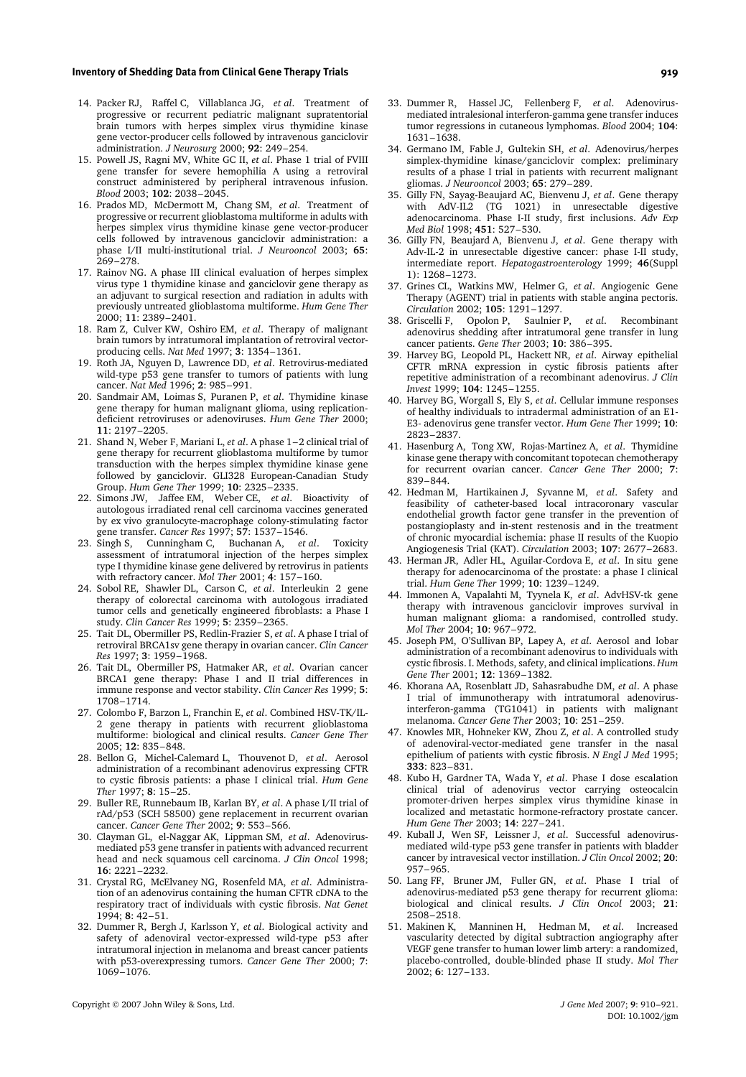- 14. Packer RJ, Raffel C, Villablanca JG, *et al*. Treatment of progressive or recurrent pediatric malignant supratentorial brain tumors with herpes simplex virus thymidine kinase gene vector-producer cells followed by intravenous ganciclovir administration. *J Neurosurg* 2000; **92**: 249–254.
- 15. Powell JS, Ragni MV, White GC II, *et al*. Phase 1 trial of FVIII gene transfer for severe hemophilia A using a retroviral construct administered by peripheral intravenous infusion. *Blood* 2003; **102**: 2038–2045.
- 16. Prados MD, McDermott M, Chang SM, *et al*. Treatment of progressive or recurrent glioblastoma multiforme in adults with herpes simplex virus thymidine kinase gene vector-producer cells followed by intravenous ganciclovir administration: a phase I/II multi-institutional trial. *J Neurooncol* 2003; **65**: 269–278.
- 17. Rainov NG. A phase III clinical evaluation of herpes simplex virus type 1 thymidine kinase and ganciclovir gene therapy as an adjuvant to surgical resection and radiation in adults with previously untreated glioblastoma multiforme. *Hum Gene Ther* 2000; **11**: 2389–2401.
- 18. Ram Z, Culver KW, Oshiro EM, *et al*. Therapy of malignant brain tumors by intratumoral implantation of retroviral vectorproducing cells. *Nat Med* 1997; **3**: 1354–1361.
- 19. Roth JA, Nguyen D, Lawrence DD, *et al*. Retrovirus-mediated wild-type p53 gene transfer to tumors of patients with lung cancer. *Nat Med* 1996; **2**: 985–991.
- 20. Sandmair AM, Loimas S, Puranen P, *et al*. Thymidine kinase gene therapy for human malignant glioma, using replicationdeficient retroviruses or adenoviruses. *Hum Gene Ther* 2000; **11**: 2197–2205.
- 21. Shand N, Weber F, Mariani L, *et al*. A phase 1–2 clinical trial of gene therapy for recurrent glioblastoma multiforme by tumor transduction with the herpes simplex thymidine kinase gene followed by ganciclovir. GLI328 European-Canadian Study Group. *Hum Gene Ther* 1999; **10**: 2325–2335.
- 22. Simons JW, Jaffee EM, Weber CE, *et al*. Bioactivity of autologous irradiated renal cell carcinoma vaccines generated by ex vivo granulocyte-macrophage colony-stimulating factor gene transfer. *Cancer Res* 1997; **57**: 1537–1546.
- 23. Singh S, Cunningham C, Buchanan A, *et al*. Toxicity assessment of intratumoral injection of the herpes simplex type I thymidine kinase gene delivered by retrovirus in patients with refractory cancer. *Mol Ther* 2001; **4**: 157–160.
- 24. Sobol RE, Shawler DL, Carson C, *et al*. Interleukin 2 gene therapy of colorectal carcinoma with autologous irradiated tumor cells and genetically engineered fibroblasts: a Phase I study. *Clin Cancer Res* 1999; **5**: 2359–2365.
- 25. Tait DL, Obermiller PS, Redlin-Frazier S, *et al*. A phase I trial of retroviral BRCA1sv gene therapy in ovarian cancer. *Clin Cancer Res* 1997; **3**: 1959–1968.
- 26. Tait DL, Obermiller PS, Hatmaker AR, *et al*. Ovarian cancer BRCA1 gene therapy: Phase I and II trial differences in immune response and vector stability. *Clin Cancer Res* 1999; **5**: 1708–1714.
- 27. Colombo F, Barzon L, Franchin E, *et al*. Combined HSV-TK/IL-2 gene therapy in patients with recurrent glioblastoma multiforme: biological and clinical results. *Cancer Gene Ther* 2005; **12**: 835–848.
- 28. Bellon G, Michel-Calemard L, Thouvenot D, *et al*. Aerosol administration of a recombinant adenovirus expressing CFTR to cystic fibrosis patients: a phase I clinical trial. *Hum Gene Ther* 1997; **8**: 15–25.
- 29. Buller RE, Runnebaum IB, Karlan BY, *et al*. A phase I/II trial of rAd/p53 (SCH 58500) gene replacement in recurrent ovarian cancer. *Cancer Gene Ther* 2002; **9**: 553–566.
- 30. Clayman GL, el-Naggar AK, Lippman SM, *et al*. Adenovirusmediated p53 gene transfer in patients with advanced recurrent head and neck squamous cell carcinoma. *J Clin Oncol* 1998; **16**: 2221–2232.
- 31. Crystal RG, McElvaney NG, Rosenfeld MA, *et al*. Administration of an adenovirus containing the human CFTR cDNA to the respiratory tract of individuals with cystic fibrosis. *Nat Genet* 1994; **8**: 42–51.
- 32. Dummer R, Bergh J, Karlsson Y, *et al*. Biological activity and safety of adenoviral vector-expressed wild-type p53 after intratumoral injection in melanoma and breast cancer patients with p53-overexpressing tumors. *Cancer Gene Ther* 2000; **7**: 1069–1076.
- 33. Dummer R, Hassel JC, Fellenberg F, *et al*. Adenovirusmediated intralesional interferon-gamma gene transfer induces tumor regressions in cutaneous lymphomas. *Blood* 2004; **104**: 1631–1638.
- 34. Germano IM, Fable J, Gultekin SH, *et al*. Adenovirus/herpes simplex-thymidine kinase/ganciclovir complex: preliminary results of a phase I trial in patients with recurrent malignant gliomas. *J Neurooncol* 2003; **65**: 279–289.
- 35. Gilly FN, Sayag-Beaujard AC, Bienvenu J, *et al*. Gene therapy with AdV-IL2 (TG 1021) in unresectable digestive adenocarcinoma. Phase I-II study, first inclusions. *Adv Exp Med Biol* 1998; **451**: 527–530.
- 36. Gilly FN, Beaujard A, Bienvenu J, *et al*. Gene therapy with Adv-IL-2 in unresectable digestive cancer: phase I-II study, intermediate report. *Hepatogastroenterology* 1999; **46**(Suppl 1): 1268–1273.
- 37. Grines CL, Watkins MW, Helmer G, *et al*. Angiogenic Gene Therapy (AGENT) trial in patients with stable angina pectoris. *Circulation* 2002; **105**: 1291–1297.
- 38. Griscelli F, Opolon P, Saulnier P, *et al*. Recombinant adenovirus shedding after intratumoral gene transfer in lung cancer patients. *Gene Ther* 2003; **10**: 386–395.
- 39. Harvey BG, Leopold PL, Hackett NR, *et al*. Airway epithelial CFTR mRNA expression in cystic fibrosis patients after repetitive administration of a recombinant adenovirus. *J Clin Invest* 1999; **104**: 1245–1255.
- 40. Harvey BG, Worgall S, Ely S, *et al*. Cellular immune responses of healthy individuals to intradermal administration of an E1- E3- adenovirus gene transfer vector. *Hum Gene Ther* 1999; **10**: 2823–2837.
- 41. Hasenburg A, Tong XW, Rojas-Martinez A, *et al*. Thymidine kinase gene therapy with concomitant topotecan chemotherapy for recurrent ovarian cancer. *Cancer Gene Ther* 2000; **7**: 839–844.
- 42. Hedman M, Hartikainen J, Syvanne M, *et al*. Safety and feasibility of catheter-based local intracoronary vascular endothelial growth factor gene transfer in the prevention of postangioplasty and in-stent restenosis and in the treatment of chronic myocardial ischemia: phase II results of the Kuopio Angiogenesis Trial (KAT). *Circulation* 2003; **107**: 2677–2683.
- 43. Herman JR, Adler HL, Aguilar-Cordova E, *et al*. In situ gene therapy for adenocarcinoma of the prostate: a phase I clinical trial. *Hum Gene Ther* 1999; **10**: 1239–1249.
- 44. Immonen A, Vapalahti M, Tyynela K, *et al*. AdvHSV-tk gene therapy with intravenous ganciclovir improves survival in human malignant glioma: a randomised, controlled study. *Mol Ther* 2004; **10**: 967–972.
- 45. Joseph PM, O'Sullivan BP, Lapey A, *et al*. Aerosol and lobar administration of a recombinant adenovirus to individuals with cystic fibrosis. I. Methods, safety, and clinical implications. *Hum Gene Ther* 2001; **12**: 1369–1382.
- 46. Khorana AA, Rosenblatt JD, Sahasrabudhe DM, *et al*. A phase I trial of immunotherapy with intratumoral adenovirusinterferon-gamma (TG1041) in patients with malignant melanoma. *Cancer Gene Ther* 2003; **10**: 251–259.
- 47. Knowles MR, Hohneker KW, Zhou Z, *et al*. A controlled study of adenoviral-vector-mediated gene transfer in the nasal epithelium of patients with cystic fibrosis. *N Engl J Med* 1995; **333**: 823–831.
- 48. Kubo H, Gardner TA, Wada Y, *et al*. Phase I dose escalation clinical trial of adenovirus vector carrying osteocalcin promoter-driven herpes simplex virus thymidine kinase in localized and metastatic hormone-refractory prostate cancer. *Hum Gene Ther* 2003; **14**: 227–241.
- 49. Kuball J, Wen SF, Leissner J, *et al*. Successful adenovirusmediated wild-type p53 gene transfer in patients with bladder cancer by intravesical vector instillation. *J Clin Oncol* 2002; **20**: 957–965.
- 50. Lang FF, Bruner JM, Fuller GN, *et al*. Phase I trial of adenovirus-mediated p53 gene therapy for recurrent glioma: biological and clinical results. *J Clin Oncol* 2003; **21**: 2508–2518.<br>51. Makinen K,
- Manninen H, Hedman M, et al. Increased vascularity detected by digital subtraction angiography after VEGF gene transfer to human lower limb artery: a randomized, placebo-controlled, double-blinded phase II study. *Mol Ther* 2002; **6**: 127–133.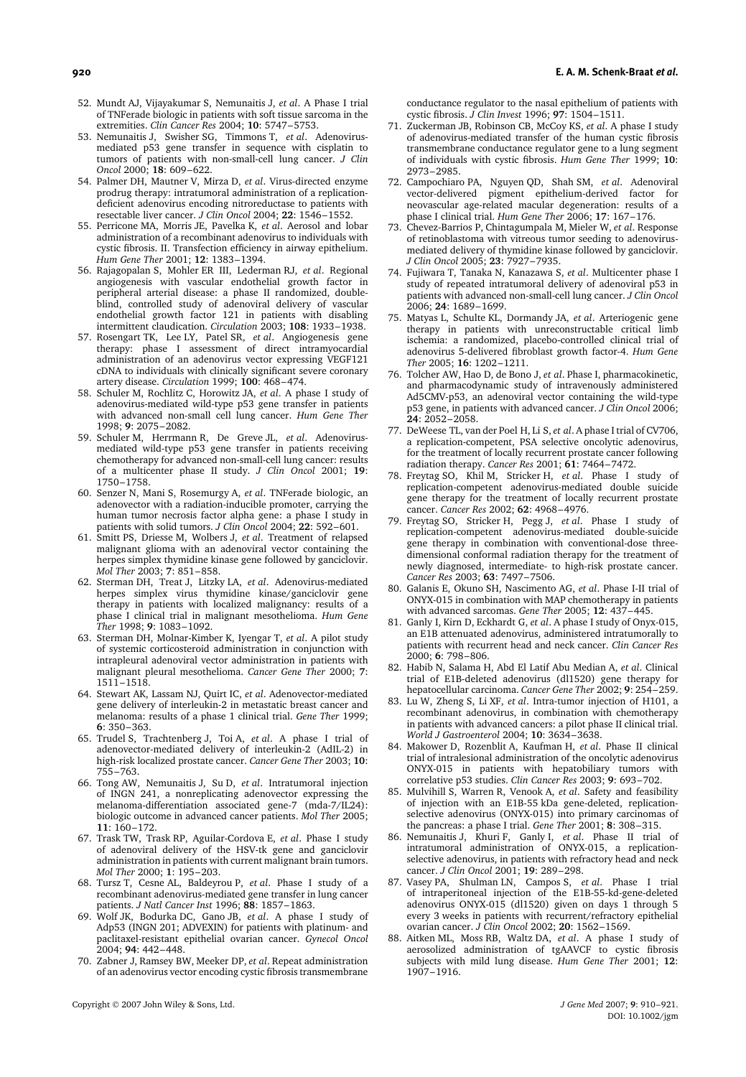- 52. Mundt AJ, Vijayakumar S, Nemunaitis J, *et al*. A Phase I trial of TNFerade biologic in patients with soft tissue sarcoma in the extremities. *Clin Cancer Res* 2004; **10**: 5747–5753.
- 53. Nemunaitis J, Swisher SG, Timmons T, *et al*. Adenovirusmediated p53 gene transfer in sequence with cisplatin to tumors of patients with non-small-cell lung cancer. *J Clin Oncol* 2000; **18**: 609–622.
- 54. Palmer DH, Mautner V, Mirza D, *et al*. Virus-directed enzyme prodrug therapy: intratumoral administration of a replicationdeficient adenovirus encoding nitroreductase to patients with resectable liver cancer. *J Clin Oncol* 2004; **22**: 1546–1552.
- 55. Perricone MA, Morris JE, Pavelka K, *et al*. Aerosol and lobar administration of a recombinant adenovirus to individuals with cystic fibrosis. II. Transfection efficiency in airway epithelium. *Hum Gene Ther* 2001; **12**: 1383–1394.
- 56. Rajagopalan S, Mohler ER III, Lederman RJ, *et al*. Regional angiogenesis with vascular endothelial growth factor in peripheral arterial disease: a phase II randomized, doubleblind, controlled study of adenoviral delivery of vascular endothelial growth factor 121 in patients with disabling intermittent claudication. *Circulation* 2003; **108**: 1933–1938.
- 57. Rosengart TK, Lee LY, Patel SR, *et al*. Angiogenesis gene therapy: phase I assessment of direct intramyocardial administration of an adenovirus vector expressing VEGF121 cDNA to individuals with clinically significant severe coronary artery disease. *Circulation* 1999; **100**: 468–474.
- 58. Schuler M, Rochlitz C, Horowitz JA, *et al*. A phase I study of adenovirus-mediated wild-type p53 gene transfer in patients with advanced non-small cell lung cancer. *Hum Gene Ther* 1998; **9**: 2075–2082.
- 59. Schuler M, Herrmann R, De Greve JL, *et al*. Adenovirusmediated wild-type p53 gene transfer in patients receiving chemotherapy for advanced non-small-cell lung cancer: results of a multicenter phase II study. *J Clin Oncol* 2001; **19**: 1750–1758.
- 60. Senzer N, Mani S, Rosemurgy A, *et al*. TNFerade biologic, an adenovector with a radiation-inducible promoter, carrying the human tumor necrosis factor alpha gene: a phase I study in patients with solid tumors. *J Clin Oncol* 2004; **22**: 592–601.
- 61. Smitt PS, Driesse M, Wolbers J, *et al*. Treatment of relapsed malignant glioma with an adenoviral vector containing the herpes simplex thymidine kinase gene followed by ganciclovir. *Mol Ther* 2003; **7**: 851–858.
- 62. Sterman DH, Treat J, Litzky LA, *et al*. Adenovirus-mediated herpes simplex virus thymidine kinase/ganciclovir gene therapy in patients with localized malignancy: results of a phase I clinical trial in malignant mesothelioma. *Hum Gene Ther* 1998; **9**: 1083–1092.
- 63. Sterman DH, Molnar-Kimber K, Iyengar T, *et al*. A pilot study of systemic corticosteroid administration in conjunction with intrapleural adenoviral vector administration in patients with malignant pleural mesothelioma. *Cancer Gene Ther* 2000; **7**: 1511–1518.
- 64. Stewart AK, Lassam NJ, Quirt IC, *et al*. Adenovector-mediated gene delivery of interleukin-2 in metastatic breast cancer and melanoma: results of a phase 1 clinical trial. *Gene Ther* 1999; **6**: 350–363.
- 65. Trudel S, Trachtenberg J, Toi A, *et al*. A phase I trial of adenovector-mediated delivery of interleukin-2 (AdIL-2) in high-risk localized prostate cancer. *Cancer Gene Ther* 2003; **10**: 755–763.
- 66. Tong AW, Nemunaitis J, Su D, *et al*. Intratumoral injection of INGN 241, a nonreplicating adenovector expressing the melanoma-differentiation associated gene-7 (mda-7/IL24): biologic outcome in advanced cancer patients. *Mol Ther* 2005; **11**: 160–172.
- 67. Trask TW, Trask RP, Aguilar-Cordova E, *et al*. Phase I study of adenoviral delivery of the HSV-tk gene and ganciclovir administration in patients with current malignant brain tumors. *Mol Ther* 2000; **1**: 195–203.
- 68. Tursz T, Cesne AL, Baldeyrou P, *et al*. Phase I study of a recombinant adenovirus-mediated gene transfer in lung cancer patients. *J Natl Cancer Inst* 1996; **88**: 1857–1863.
- 69. Wolf JK, Bodurka DC, Gano JB, *et al*. A phase I study of Adp53 (INGN 201; ADVEXIN) for patients with platinum- and paclitaxel-resistant epithelial ovarian cancer. *Gynecol Oncol* 2004; **94**: 442–448.
- 70. Zabner J, Ramsey BW, Meeker DP, *et al*. Repeat administration of an adenovirus vector encoding cystic fibrosis transmembrane

conductance regulator to the nasal epithelium of patients with cystic fibrosis. *J Clin Invest* 1996; **97**: 1504–1511.

- 71. Zuckerman JB, Robinson CB, McCoy KS, *et al*. A phase I study of adenovirus-mediated transfer of the human cystic fibrosis transmembrane conductance regulator gene to a lung segment of individuals with cystic fibrosis. *Hum Gene Ther* 1999; **10**: 2973–2985.
- 72. Campochiaro PA, Nguyen QD, Shah SM, *et al*. Adenoviral vector-delivered pigment epithelium-derived factor for neovascular age-related macular degeneration: results of a phase I clinical trial. *Hum Gene Ther* 2006; **17**: 167–176.
- 73. Chevez-Barrios P, Chintagumpala M, Mieler W, *et al*. Response of retinoblastoma with vitreous tumor seeding to adenovirusmediated delivery of thymidine kinase followed by ganciclovir. *J Clin Oncol* 2005; **23**: 7927–7935.
- 74. Fujiwara T, Tanaka N, Kanazawa S, *et al*. Multicenter phase I study of repeated intratumoral delivery of adenoviral p53 in patients with advanced non-small-cell lung cancer. *J Clin Oncol* 2006; **24**: 1689–1699.
- 75. Matyas L, Schulte KL, Dormandy JA, *et al*. Arteriogenic gene therapy in patients with unreconstructable critical limb ischemia: a randomized, placebo-controlled clinical trial of adenovirus 5-delivered fibroblast growth factor-4. *Hum Gene Ther* 2005; **16**: 1202–1211.
- 76. Tolcher AW, Hao D, de Bono J, *et al*. Phase I, pharmacokinetic, and pharmacodynamic study of intravenously administered Ad5CMV-p53, an adenoviral vector containing the wild-type p53 gene, in patients with advanced cancer. *J Clin Oncol* 2006; **24**: 2052–2058.
- 77. DeWeese TL, van der Poel H, Li S, *et al*. A phase I trial of CV706, a replication-competent, PSA selective oncolytic adenovirus, for the treatment of locally recurrent prostate cancer following radiation therapy. *Cancer Res* 2001; **61**: 7464–7472.
- 78. Freytag SO, Khil M, Stricker H, *et al*. Phase I study of replication-competent adenovirus-mediated double suicide gene therapy for the treatment of locally recurrent prostate cancer. *Cancer Res* 2002; **62**: 4968–4976.
- 79. Freytag SO, Stricker H, Pegg J, *et al*. Phase I study of replication-competent adenovirus-mediated double-suicide gene therapy in combination with conventional-dose threedimensional conformal radiation therapy for the treatment of newly diagnosed, intermediate- to high-risk prostate cancer. *Cancer Res* 2003; **63**: 7497–7506.
- 80. Galanis E, Okuno SH, Nascimento AG, *et al*. Phase I-II trial of ONYX-015 in combination with MAP chemotherapy in patients with advanced sarcomas. *Gene Ther* 2005; **12**: 437–445.
- 81. Ganly I, Kirn D, Eckhardt G, *et al*. A phase I study of Onyx-015, an E1B attenuated adenovirus, administered intratumorally to patients with recurrent head and neck cancer. *Clin Cancer Res* 2000; **6**: 798–806.
- 82. Habib N, Salama H, Abd El Latif Abu Median A, *et al*. Clinical trial of E1B-deleted adenovirus (dl1520) gene therapy for hepatocellular carcinoma. *Cancer Gene Ther* 2002; **9**: 254–259.
- 83. Lu W, Zheng S, Li XF, *et al*. Intra-tumor injection of H101, a recombinant adenovirus, in combination with chemotherapy in patients with advanced cancers: a pilot phase II clinical trial. *World J Gastroenterol* 2004; **10**: 3634–3638.
- 84. Makower D, Rozenblit A, Kaufman H, *et al*. Phase II clinical trial of intralesional administration of the oncolytic adenovirus ONYX-015 in patients with hepatobiliary tumors with correlative p53 studies. *Clin Cancer Res* 2003; **9**: 693–702.
- 85. Mulvihill S, Warren R, Venook A, *et al*. Safety and feasibility of injection with an E1B-55 kDa gene-deleted, replicationselective adenovirus (ONYX-015) into primary carcinomas of the pancreas: a phase I trial. *Gene Ther* 2001; **8**: 308–315.
- 86. Nemunaitis J, Khuri F, Ganly I, *et al*. Phase II trial of intratumoral administration of ONYX-015, a replicationselective adenovirus, in patients with refractory head and neck cancer. *J Clin Oncol* 2001; **19**: 289–298.
- 87. Vasey PA, Shulman LN, Campos S, *et al*. Phase I trial of intraperitoneal injection of the E1B-55-kd-gene-deleted adenovirus ONYX-015 (dl1520) given on days 1 through 5 every 3 weeks in patients with recurrent/refractory epithelial ovarian cancer. *J Clin Oncol* 2002; **20**: 1562–1569.
- 88. Aitken ML, Moss RB, Waltz DA, *et al*. A phase I study of aerosolized administration of tgAAVCF to cystic fibrosis subjects with mild lung disease. *Hum Gene Ther* 2001; **12**: 1907–1916.